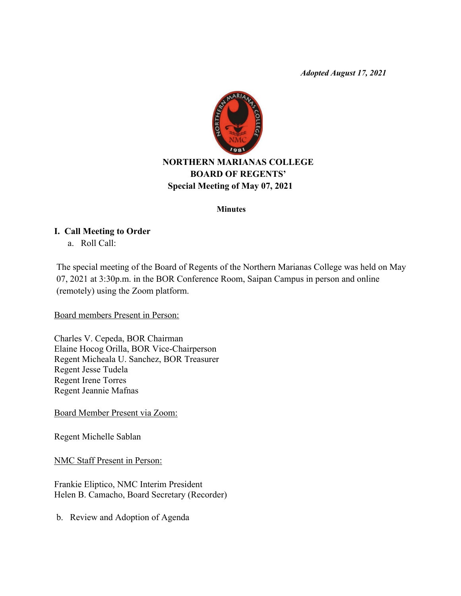*Adopted August 17, 2021*



# **NORTHERN MARIANAS COLLEGE BOARD OF REGENTS' Special Meeting of May 07, 2021**

#### **Minutes**

#### **I. Call Meeting to Order**

a. Roll Call:

The special meeting of the Board of Regents of the Northern Marianas College was held on May 07, 2021 at 3:30p.m. in the BOR Conference Room, Saipan Campus in person and online (remotely) using the Zoom platform.

Board members Present in Person:

Charles V. Cepeda, BOR Chairman Elaine Hocog Orilla, BOR Vice-Chairperson Regent Micheala U. Sanchez, BOR Treasurer Regent Jesse Tudela Regent Irene Torres Regent Jeannie Mafnas

Board Member Present via Zoom:

Regent Michelle Sablan

NMC Staff Present in Person:

Frankie Eliptico, NMC Interim President Helen B. Camacho, Board Secretary (Recorder)

b. Review and Adoption of Agenda